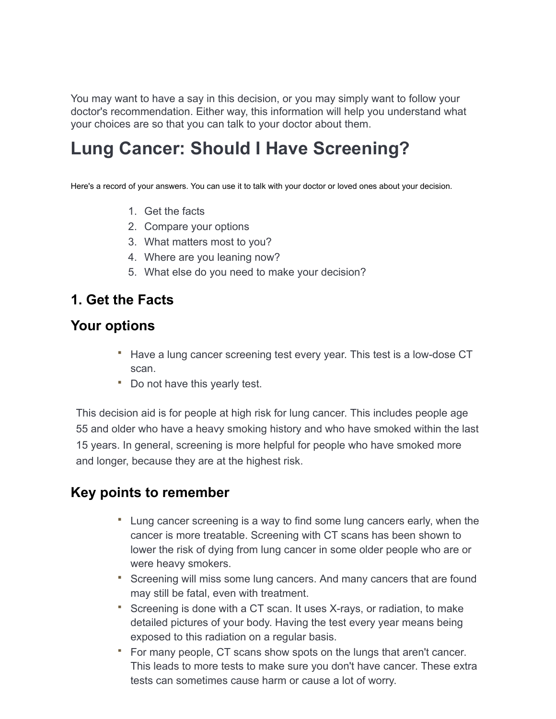You may want to have a say in this decision, or you may simply want to follow your doctor's recommendation. Either way, this information will help you understand what your choices are so that you can talk to your doctor about them.

# **Lung Cancer: Should I Have Screening?**

Here's a record of your answers. You can use it to talk with your doctor or loved ones about your decision.

- 1. Get the facts
- 2. Compare your options
- 3. What matters most to you?
- 4. Where are you leaning now?
- 5. What else do you need to make your decision?

## **1. Get the Facts**

## **Your options**

- **Have a lung cancer screening test every year. This test is a low-dose CT** scan.
- Do not have this yearly test.

This decision aid is for people at high risk for lung cancer. This includes people age 55 and older who have a heavy smoking history and who have smoked within the last 15 years. In general, screening is more helpful for people who have smoked more and longer, because they are at the highest risk.

## **Key points to remember**

- Lung cancer screening is a way to find some lung cancers early, when the cancer is more treatable. Screening with CT scans has been shown to lower the risk of dying from lung cancer in some older people who are or were heavy smokers.
- Screening will miss some lung cancers. And many cancers that are found may still be fatal, even with treatment.
- Screening is done with a CT scan. It uses X-rays, or radiation, to make detailed pictures of your body. Having the test every year means being exposed to this radiation on a regular basis.
- For many people, CT scans show spots on the lungs that aren't cancer. This leads to more tests to make sure you don't have cancer. These extra tests can sometimes cause harm or cause a lot of worry.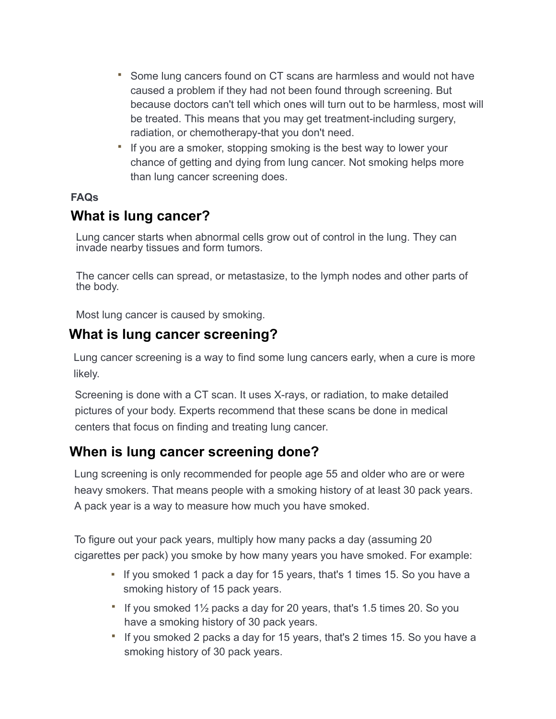- Some lung cancers found on CT scans are harmless and would not have caused a problem if they had not been found through screening. But because doctors can't tell which ones will turn out to be harmless, most will be treated. This means that you may get treatment-including surgery, radiation, or chemotherapy-that you don't need.
- If you are a smoker, stopping smoking is the best way to lower your chance of getting and dying from lung cancer. Not smoking helps more than lung cancer screening does.

### **FAQs**

## **What is lung cancer?**

Lung cancer starts when abnormal cells grow out of control in the lung. They can invade nearby tissues and form tumors.

The cancer cells can spread, or metastasize, to the lymph nodes and other parts of the body.

Most lung cancer is caused by smoking.

## **What is lung cancer screening?**

Lung cancer screening is a way to find some lung cancers early, when a cure is more likely.

Screening is done with a CT scan. It uses X-rays, or radiation, to make detailed pictures of your body. Experts recommend that these scans be done in medical centers that focus on finding and treating lung cancer.

## **When is lung cancer screening done?**

Lung screening is only recommended for people age 55 and older who are or were heavy smokers. That means people with a smoking history of at least 30 pack years. A pack year is a way to measure how much you have smoked.

To figure out your pack years, multiply how many packs a day (assuming 20 cigarettes per pack) you smoke by how many years you have smoked. For example:

- If you smoked 1 pack a day for 15 years, that's 1 times 15. So you have a smoking history of 15 pack years.
- If you smoked  $1\frac{1}{2}$  packs a day for 20 years, that's 1.5 times 20. So you have a smoking history of 30 pack years.
- " If you smoked 2 packs a day for 15 years, that's 2 times 15. So you have a smoking history of 30 pack years.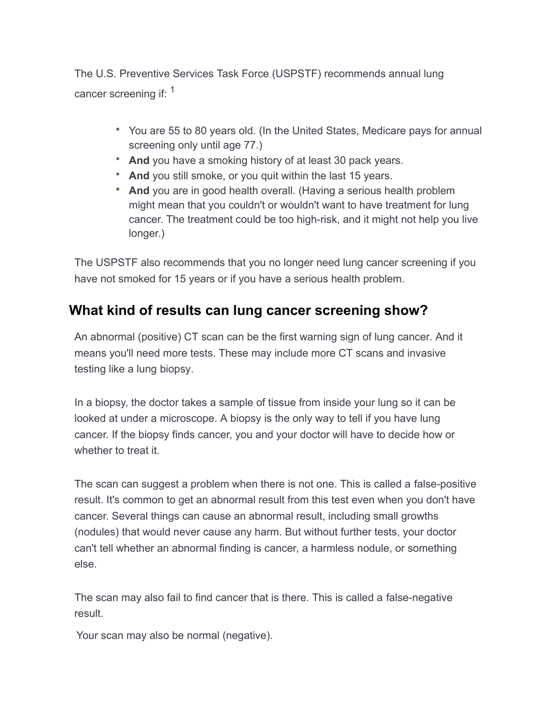The U.S. Preventive Services Task Force (USPSTF) recommends annual lung cancer screening if: <sup>1</sup>

- You are 55 to 80 years old. (In the United States, Medicare pays for annual screening only until age 77.)
- **And** you have a smoking history of at least 30 pack years.
- **And** you still smoke, or you quit within the last 15 years.
- **And** you are in good health overall. (Having a serious health problem might mean that you couldn't or wouldn't want to have treatment for lung cancer. The treatment could be too high-risk, and it might not help you live longer.)

The USPSTF also recommends that you no longer need lung cancer screening if you have not smoked for 15 years or if you have a serious health problem.

## **What kind of results can lung cancer screening show?**

An abnormal (positive) CT scan can be the first warning sign of lung cancer. And it means you'll need more tests. These may include more CT scans and invasive testing like a lung biopsy.

In a biopsy, the doctor takes a sample of tissue from inside your lung so it can be looked at under a microscope. A biopsy is the only way to tell if you have lung cancer. If the biopsy finds cancer, you and your doctor will have to decide how or whether to treat it.

The scan can suggest a problem when there is not one. This is called a false-positive result. It's common to get an abnormal result from this test even when you don't have cancer. Several things can cause an abnormal result, including small growths (nodules) that would never cause any harm. But without further tests, your doctor can't tell whether an abnormal finding is cancer, a harmless nodule, or something else.

The scan may also fail to find cancer that is there. This is called a false-negative result.

Your scan may also be normal (negative).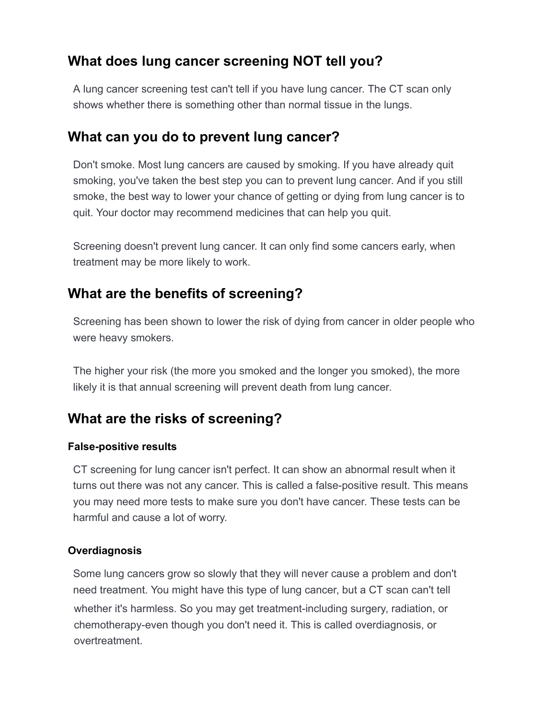## **What does lung cancer screening NOT tell you?**

A lung cancer screening test can't tell if you have lung cancer. The CT scan only shows whether there is something other than normal tissue in the lungs.

## **What can you do to prevent lung cancer?**

Don't smoke. Most lung cancers are caused by smoking. If you have already quit smoking, you've taken the best step you can to prevent lung cancer. And if you still smoke, the best way to lower your chance of getting or dying from lung cancer is to quit. Your doctor may recommend medicines that can help you quit.

Screening doesn't prevent lung cancer. It can only find some cancers early, when treatment may be more likely to work.

## **What are the benefits of screening?**

Screening has been shown to lower the risk of dying from cancer in older people who were heavy smokers.

The higher your risk (the more you smoked and the longer you smoked), the more likely it is that annual screening will prevent death from lung cancer.

# **What are the risks of screening?**

## **False-positive results**

CT screening for lung cancer isn't perfect. It can show an abnormal result when it turns out there was not any cancer. This is called a false-positive result. This means you may need more tests to make sure you don't have cancer. These tests can be harmful and cause a lot of worry.

## **Overdiagnosis**

Some lung cancers grow so slowly that they will never cause a problem and don't need treatment. You might have this type of lung cancer, but a CT scan can't tell whether it's harmless. So you may get treatment-including surgery, radiation, or chemotherapy-even though you don't need it. This is called overdiagnosis, or overtreatment.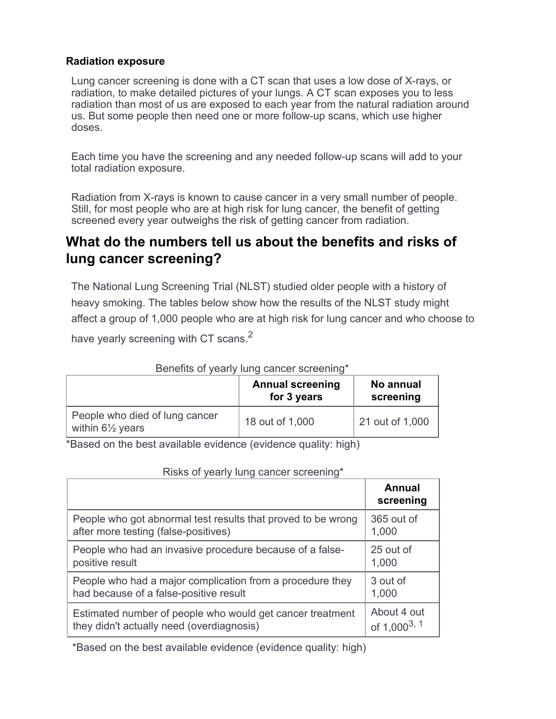#### **Radiation exposure**

Lung cancer screening is done with a CT scan that uses a low dose of X-rays, or radiation, to make detailed pictures of your lungs. A CT scan exposes you to less radiation than most of us are exposed to each year from the natural radiation around us. But some people then need one or more follow-up scans, which use higher doses.

Each time you have the screening and any needed follow-up scans will add to your total radiation exposure.

Radiation from X-rays is known to cause cancer in a very small number of people. Still, for most people who are at high risk for lung cancer, the benefit of getting screened every year outweighs the risk of getting cancer from radiation.

## **What do the numbers tell us about the benefits and risks of lung cancer screening?**

The National Lung Screening Trial (NLST) studied older people with a history of heavy smoking. The tables below show how the results of the NLST study might affect a group of 1,000 people who are at high risk for lung cancer and who choose to

have yearly screening with CT scans.<sup>2</sup>

|                                                               | <b>Annual screening</b><br>for 3 years | No annual<br>screening |
|---------------------------------------------------------------|----------------------------------------|------------------------|
| People who died of lung cancer<br>within $6\frac{1}{2}$ years | 18 out of 1,000                        | 21 out of 1,000        |

#### Benefits of yearly lung cancer screening\*

\*Based on the best available evidence (evidence quality: high)

| $\frac{1}{2}$ and $\frac{1}{2}$ and $\frac{1}{2}$ and $\frac{1}{2}$ and $\frac{1}{2}$ and $\frac{1}{2}$ and $\frac{1}{2}$ |                            |
|---------------------------------------------------------------------------------------------------------------------------|----------------------------|
|                                                                                                                           | <b>Annual</b><br>screening |
| People who got abnormal test results that proved to be wrong                                                              | 365 out of                 |
| after more testing (false-positives)                                                                                      | 1,000                      |
| People who had an invasive procedure because of a false-                                                                  | 25 out of                  |
| positive result                                                                                                           | 1,000                      |
| People who had a major complication from a procedure they                                                                 | 3 out of                   |
| had because of a false-positive result                                                                                    | 1,000                      |
| Estimated number of people who would get cancer treatment                                                                 | About 4 out                |
| they didn't actually need (overdiagnosis)                                                                                 | of $1,000^{3,1}$           |

#### Risks of yearly lung cancer screening\*

\*Based on the best available evidence (evidence quality: high)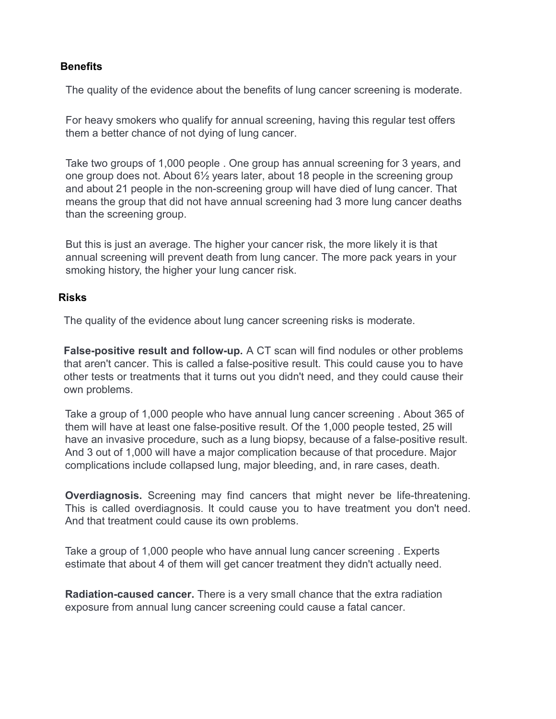#### **Benefits**

The quality of the evidence about the benefits of lung cancer screening is moderate.

For heavy smokers who qualify for annual screening, having this regular test offers them a better chance of not dying of lung cancer.

Take two groups of 1,000 people . One group has annual screening for 3 years, and one group does not. About 6½ years later, about 18 people in the screening group and about 21 people in the non-screening group will have died of lung cancer. That means the group that did not have annual screening had 3 more lung cancer deaths than the screening group.

But this is just an average. The higher your cancer risk, the more likely it is that annual screening will prevent death from lung cancer. The more pack years in your smoking history, the higher your lung cancer risk.

#### **Risks**

The quality of the evidence about lung cancer screening risks is moderate.

**False-positive result and follow-up.** A CT scan will find nodules or other problems that aren't cancer. This is called a false-positive result. This could cause you to have other tests or treatments that it turns out you didn't need, and they could cause their own problems.

Take a group of 1,000 people who have annual lung cancer screening . About 365 of them will have at least one false-positive result. Of the 1,000 people tested, 25 will have an invasive procedure, such as a lung biopsy, because of a false-positive result. And 3 out of 1,000 will have a major complication because of that procedure. Major complications include collapsed lung, major bleeding, and, in rare cases, death.

**Overdiagnosis.** Screening may find cancers that might never be life-threatening. This is called overdiagnosis. It could cause you to have treatment you don't need. And that treatment could cause its own problems.

Take a group of 1,000 people who have annual lung cancer screening . Experts estimate that about 4 of them will get cancer treatment they didn't actually need.

**Radiation-caused cancer.** There is a very small chance that the extra radiation exposure from annual lung cancer screening could cause a fatal cancer.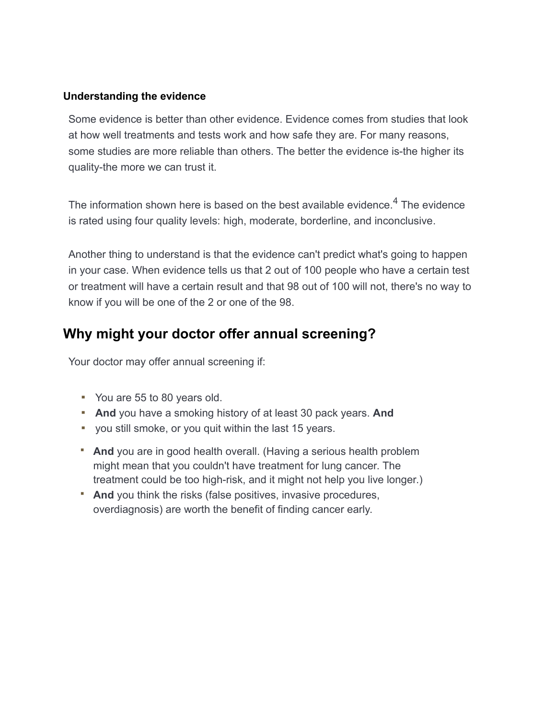#### **Understanding the evidence**

Some evidence is better than other evidence. Evidence comes from studies that look at how well treatments and tests work and how safe they are. For many reasons, some studies are more reliable than others. The better the evidence is-the higher its quality-the more we can trust it.

The information shown here is based on the best available evidence. $4$  The evidence is rated using four quality levels: high, moderate, borderline, and inconclusive.

Another thing to understand is that the evidence can't predict what's going to happen in your case. When evidence tells us that 2 out of 100 people who have a certain test or treatment will have a certain result and that 98 out of 100 will not, there's no way to know if you will be one of the 2 or one of the 98.

## **Why might your doctor offer annual screening?**

Your doctor may offer annual screening if:

- You are 55 to 80 years old.
- **And** you have a smoking history of at least 30 pack years. **And**
- you still smoke, or you quit within the last 15 years.
- **And** you are in good health overall. (Having a serious health problem might mean that you couldn't have treatment for lung cancer. The treatment could be too high-risk, and it might not help you live longer.)
- **And** you think the risks (false positives, invasive procedures, overdiagnosis) are worth the benefit of finding cancer early.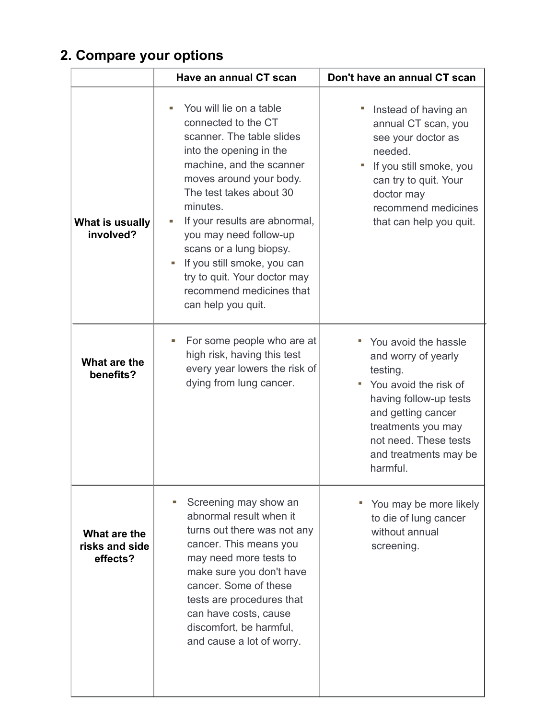# **2. Compare your options**

|                                            | Have an annual CT scan                                                                                                                                                                                                                                                                                                                                                                                           | Don't have an annual CT scan                                                                                                                                                                                         |
|--------------------------------------------|------------------------------------------------------------------------------------------------------------------------------------------------------------------------------------------------------------------------------------------------------------------------------------------------------------------------------------------------------------------------------------------------------------------|----------------------------------------------------------------------------------------------------------------------------------------------------------------------------------------------------------------------|
| What is usually<br>involved?               | You will lie on a table<br>connected to the CT<br>scanner. The table slides<br>into the opening in the<br>machine, and the scanner<br>moves around your body.<br>The test takes about 30<br>minutes.<br>If your results are abnormal,<br>you may need follow-up<br>scans or a lung biopsy.<br>If you still smoke, you can<br>ш<br>try to quit. Your doctor may<br>recommend medicines that<br>can help you quit. | Instead of having an<br>annual CT scan, you<br>see your doctor as<br>needed.<br>If you still smoke, you<br>can try to quit. Your<br>doctor may<br>recommend medicines<br>that can help you quit.                     |
| What are the<br>benefits?                  | For some people who are at<br>ш<br>high risk, having this test<br>every year lowers the risk of<br>dying from lung cancer.                                                                                                                                                                                                                                                                                       | You avoid the hassle<br>and worry of yearly<br>testing.<br>You avoid the risk of<br>having follow-up tests<br>and getting cancer<br>treatments you may<br>not need. These tests<br>and treatments may be<br>harmful. |
| What are the<br>risks and side<br>effects? | Screening may show an<br>abnormal result when it<br>turns out there was not any<br>cancer. This means you<br>may need more tests to<br>make sure you don't have<br>cancer. Some of these<br>tests are procedures that<br>can have costs, cause<br>discomfort, be harmful,<br>and cause a lot of worry.                                                                                                           | " You may be more likely<br>to die of lung cancer<br>without annual<br>screening.                                                                                                                                    |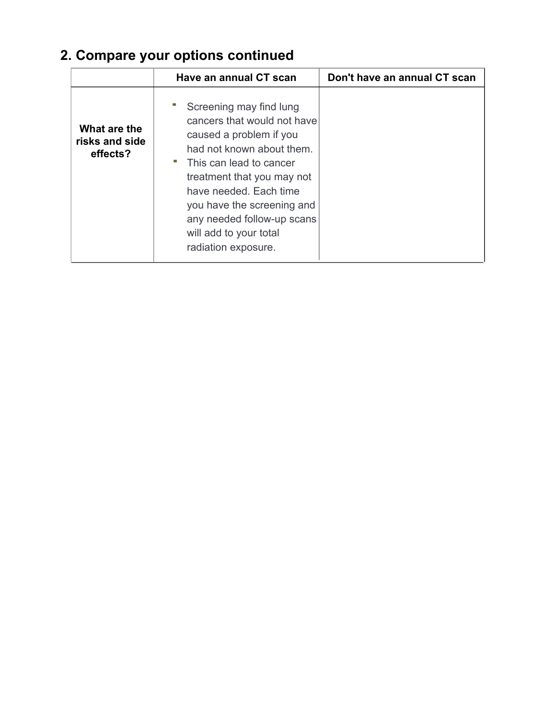# **2. Compare your options continued**

|                                            | Have an annual CT scan                                                                                                                                                                                                                                                                                           | Don't have an annual CT scan |
|--------------------------------------------|------------------------------------------------------------------------------------------------------------------------------------------------------------------------------------------------------------------------------------------------------------------------------------------------------------------|------------------------------|
| What are the<br>risks and side<br>effects? | Screening may find lung<br>cancers that would not have<br>caused a problem if you<br>had not known about them.<br>" This can lead to cancer<br>treatment that you may not<br>have needed. Each time<br>you have the screening and<br>any needed follow-up scans<br>will add to your total<br>radiation exposure. |                              |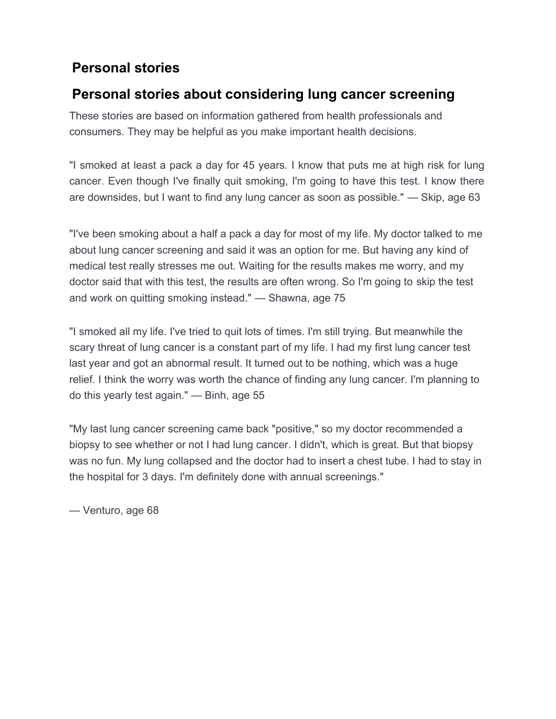## **Personal stories**

## **Personal stories about considering lung cancer screening**

These stories are based on information gathered from health professionals and consumers. They may be helpful as you make important health decisions.

"I smoked at least a pack a day for 45 years. I know that puts me at high risk for lung cancer. Even though I've finally quit smoking, I'm going to have this test. I know there are downsides, but I want to find any lung cancer as soon as possible." — Skip, age 63

"I've been smoking about a half a pack a day for most of my life. My doctor talked to me about lung cancer screening and said it was an option for me. But having any kind of medical test really stresses me out. Waiting for the results makes me worry, and my doctor said that with this test, the results are often wrong. So I'm going to skip the test and work on quitting smoking instead." — Shawna, age 75

"I smoked all my life. I've tried to quit lots of times. I'm still trying. But meanwhile the scary threat of lung cancer is a constant part of my life. I had my first lung cancer test last year and got an abnormal result. It turned out to be nothing, which was a huge relief. I think the worry was worth the chance of finding any lung cancer. I'm planning to do this yearly test again." — Binh, age 55

"My last lung cancer screening came back "positive," so my doctor recommended a biopsy to see whether or not I had lung cancer. I didn't, which is great. But that biopsy was no fun. My lung collapsed and the doctor had to insert a chest tube. I had to stay in the hospital for 3 days. I'm definitely done with annual screenings."

— Venturo, age 68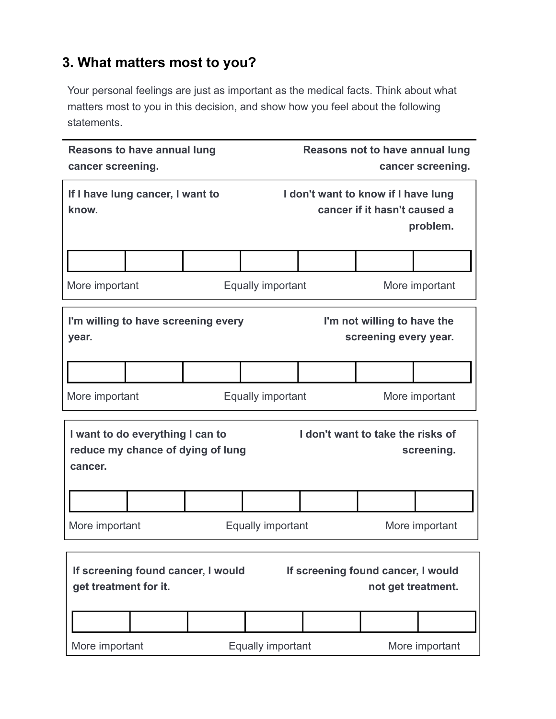## **3. What matters most to you?**

Your personal feelings are just as important as the medical facts. Think about what matters most to you in this decision, and show how you feel about the following statements.

| <b>Reasons to have annual lung</b><br>cancer screening.                                                                 |                                            | Reasons not to have annual lung                                     | cancer screening.        |                                                      |                |
|-------------------------------------------------------------------------------------------------------------------------|--------------------------------------------|---------------------------------------------------------------------|--------------------------|------------------------------------------------------|----------------|
| If I have lung cancer, I want to<br>know.                                                                               |                                            | I don't want to know if I have lung<br>cancer if it hasn't caused a | problem.                 |                                                      |                |
|                                                                                                                         |                                            |                                                                     |                          |                                                      |                |
| More important                                                                                                          |                                            |                                                                     | <b>Equally important</b> |                                                      | More important |
| I'm willing to have screening every<br>year.                                                                            |                                            |                                                                     |                          | I'm not willing to have the<br>screening every year. |                |
|                                                                                                                         |                                            |                                                                     |                          |                                                      |                |
| More important                                                                                                          |                                            | Equally important<br>More important                                 |                          |                                                      |                |
| cancer.                                                                                                                 | I want to do everything I can to           | reduce my chance of dying of lung                                   |                          | I don't want to take the risks of                    | screening.     |
|                                                                                                                         |                                            |                                                                     |                          |                                                      |                |
| More important                                                                                                          | <b>Equally important</b><br>More important |                                                                     |                          |                                                      |                |
| If screening found cancer, I would<br>If screening found cancer, I would<br>get treatment for it.<br>not get treatment. |                                            |                                                                     |                          |                                                      |                |
|                                                                                                                         |                                            |                                                                     |                          |                                                      |                |
| More important                                                                                                          |                                            |                                                                     | <b>Equally important</b> |                                                      | More important |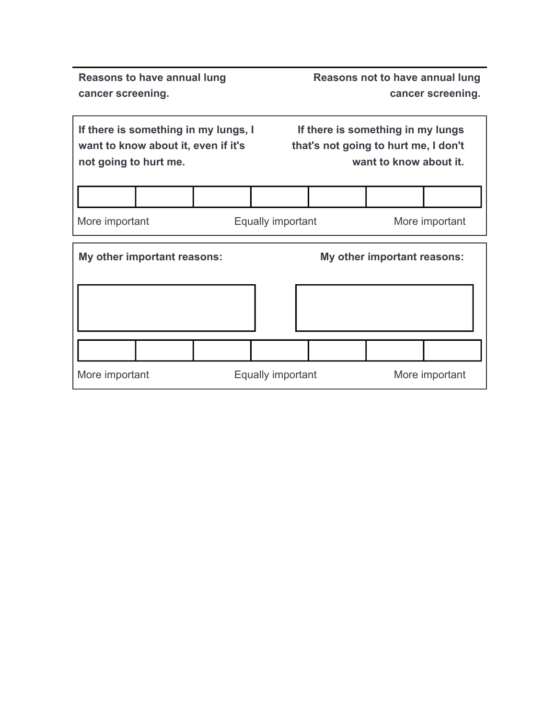**Reasons to have annual lung cancer screening.**

**Reasons not to have annual lung cancer screening.**

| If there is something in my lungs, I | If there is something in my lungs    |
|--------------------------------------|--------------------------------------|
| want to know about it, even if it's  | that's not going to hurt me, I don't |
| not going to hurt me.                | want to know about it.               |

More important **Equally important** More important

| My other important reasons: |                   | My other important reasons: |                |
|-----------------------------|-------------------|-----------------------------|----------------|
|                             |                   |                             |                |
|                             |                   |                             |                |
| More important              | Equally important |                             | More important |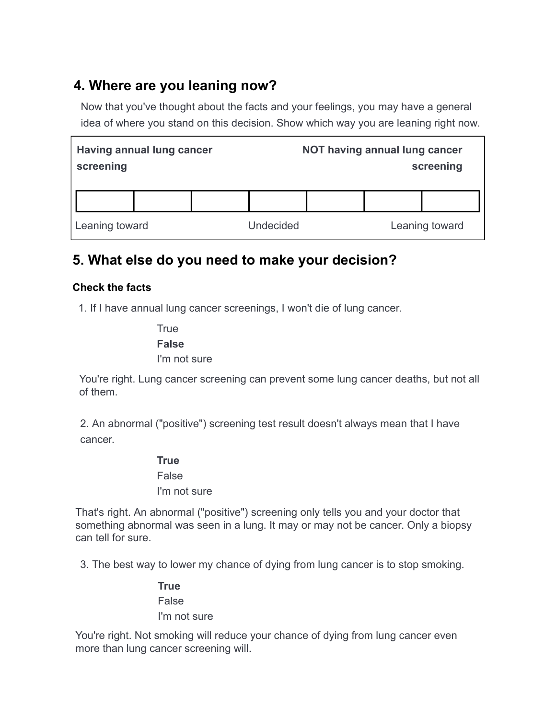# **4. Where are you leaning now?**

Now that you've thought about the facts and your feelings, you may have a general idea of where you stand on this decision. Show which way you are leaning right now.

| Having annual lung cancer<br>screening |  |                  | NOT having annual lung cancer | screening      |
|----------------------------------------|--|------------------|-------------------------------|----------------|
|                                        |  |                  |                               |                |
| Leaning toward                         |  | <b>Undecided</b> |                               | Leaning toward |

## **5. What else do you need to make your decision?**

### **Check the facts**

1. If I have annual lung cancer screenings, I won't die of lung cancer.

**True False** I'm not sure

You're right. Lung cancer screening can prevent some lung cancer deaths, but not all of them.

2. An abnormal ("positive") screening test result doesn't always mean that I have cancer.

#### **True**

False I'm not sure

That's right. An abnormal ("positive") screening only tells you and your doctor that something abnormal was seen in a lung. It may or may not be cancer. Only a biopsy can tell for sure.

3. The best way to lower my chance of dying from lung cancer is to stop smoking.

**True** False I'm not sure

You're right. Not smoking will reduce your chance of dying from lung cancer even more than lung cancer screening will.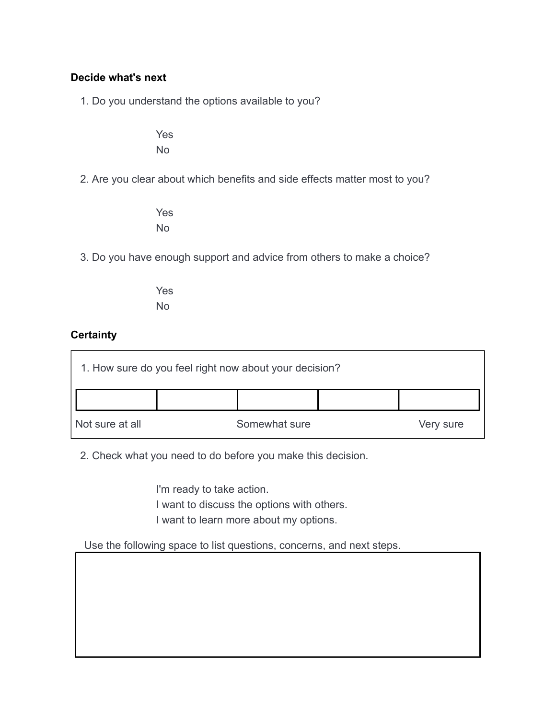#### **Decide what's next**

1. Do you understand the options available to you?

Yes No

2. Are you clear about which benefits and side effects matter most to you?

Yes No

3. Do you have enough support and advice from others to make a choice?

Yes No

#### **Certainty**

|                 | 1. How sure do you feel right now about your decision? |           |
|-----------------|--------------------------------------------------------|-----------|
|                 |                                                        |           |
| Not sure at all | Somewhat sure                                          | Very sure |

2. Check what you need to do before you make this decision.

I'm ready to take action. I want to discuss the options with others. I want to learn more about my options.

Use the following space to list questions, concerns, and next steps.